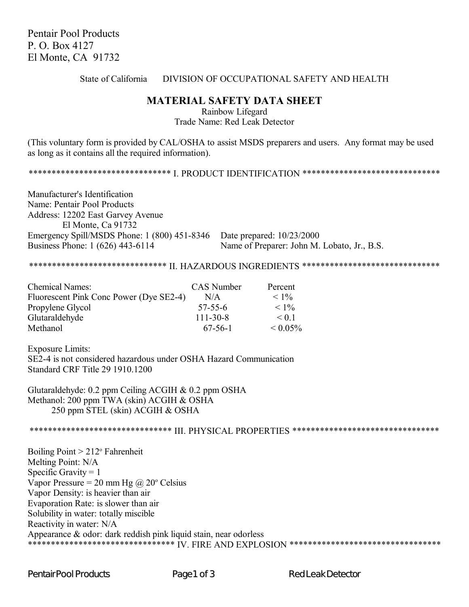Pentair Pool Products P. O. Box 4127 El Monte, CA 91732

State of California DIVISION OF OCCUPATIONAL SAFETY AND HEALTH

## **MATERIAL SAFETY DATA SHEET**

Rainbow Lifegard Trade Name: Red Leak Detector

(This voluntary form is provided by CAL/OSHA to assist MSDS preparers and users. Any format may be used as long as it contains all the required information).

\*\*\*\*\*\*\*\*\*\*\*\*\*\*\*\*\*\*\*\*\*\*\*\*\*\*\*\*\*\*\*\*\* I. PRODUCT IDENTIFICATION \*\*\*\*\*\*\*\*\*\*\*\*\*\*\*\*\*\*\*\*\*\*\*\*\*\*\*\*\*\*\*\*

Manufacturer's Identification Name: Pentair Pool Products Address: 12202 East Garvey Avenue El Monte, Ca 91732 Emergency Spill/MSDS Phone: 1 (800) 451-8346 Date prepared: 10/23/2000 Business Phone: 1 (626) 443-6114 Name of Preparer: John M. Lobato, Jr., B.S.

\*\*\*\*\*\*\*\*\*\*\*\*\*\*\*\*\*\*\*\*\*\*\*\*\*\*\*\*\*\* II. HAZARDOUS INGREDIENTS \*\*\*\*\*\*\*\*\*\*\*\*\*\*\*\*\*\*\*\*\*\*\*\*\*\*\*\*\*\*

| <b>Chemical Names:</b>                  | CAS Number     | Percent       |
|-----------------------------------------|----------------|---------------|
| Fluorescent Pink Conc Power (Dye SE2-4) | N/A            | $< 1\%$       |
| Propylene Glycol                        | $57 - 55 - 6$  | $< 1\%$       |
| Glutaraldehyde                          | $111 - 30 - 8$ | $\leq 0.1$    |
| Methanol                                | $67-56-1$      | $\leq 0.05\%$ |

Exposure Limits: SE2-4 is not considered hazardous under OSHA Hazard Communication Standard CRF Title 29 1910.1200

Glutaraldehyde: 0.2 ppm Ceiling ACGIH & 0.2 ppm OSHA Methanol: 200 ppm TWA (skin) ACGIH & OSHA 250 ppm STEL (skin) ACGIH & OSHA

\*\*\*\*\*\*\*\*\*\*\*\*\*\*\*\*\*\*\*\*\*\*\*\*\*\*\*\*\*\*\* III. PHYSICAL PROPERTIES \*\*\*\*\*\*\*\*\*\*\*\*\*\*\*\*\*\*\*\*\*\*\*\*\*\*\*\*\*\*\*\*

Boiling Point > 212° Fahrenheit Melting Point: N/A Specific Gravity  $= 1$ Vapor Pressure = 20 mm Hg  $\omega$  20° Celsius Vapor Density: is heavier than air Evaporation Rate: is slower than air Solubility in water: totally miscible Reactivity in water: N/A Appearance & odor: dark reddish pink liquid stain, near odorless \*\*\*\*\*\*\*\*\*\*\*\*\*\*\*\*\*\*\*\*\*\*\*\*\*\*\*\*\*\*\*\* IV. FIRE AND EXPLOSION \*\*\*\*\*\*\*\*\*\*\*\*\*\*\*\*\*\*\*\*\*\*\*\*\*\*\*\*\*\*\*\*\*\*\*

Pentair Pool Products **Page 1 of 3** Red Leak Detector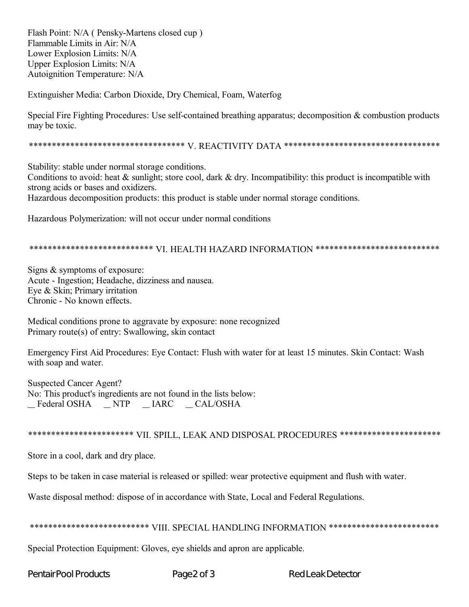Flash Point: N/A (Pensky-Martens closed cup) Flammable Limits in Air: N/A Lower Explosion Limits: N/A Upper Explosion Limits: N/A Autoignition Temperature: N/A

Extinguisher Media: Carbon Dioxide, Dry Chemical, Foam, Waterfog

Special Fire Fighting Procedures: Use self-contained breathing apparatus; decomposition & combustion products may be toxic.

Stability: stable under normal storage conditions.

Conditions to avoid: heat  $\&$  sunlight; store cool, dark  $\&$  dry. Incompatibility: this product is incompatible with strong acids or bases and oxidizers.

Hazardous decomposition products: this product is stable under normal storage conditions.

Hazardous Polymerization: will not occur under normal conditions

## \*\*\*\*\*\*\*\*\*\*\*\*\*\*\*\*\*\*\*\*\*\*\*\*\*\*\* VI. HEALTH HAZARD INFORMATION \*\*\*\*\*\*\*\*\*\*\*\*\*\*\*\*\*\*\*\*\*\*\*\*\*\*\*

Signs  $&$  symptoms of exposure: Acute - Ingestion; Headache, dizziness and nausea. Eye & Skin; Primary irritation Chronic - No known effects.

Medical conditions prone to aggravate by exposure: none recognized Primary route(s) of entry: Swallowing, skin contact

Emergency First Aid Procedures: Eye Contact: Flush with water for at least 15 minutes. Skin Contact: Wash with soap and water.

**Suspected Cancer Agent?** No: This product's ingredients are not found in the lists below: Federal OSHA NTP IARC CAL/OSHA

## \*\*\*\*\*\*\*\*\*\*\*\*\*\*\*\*\*\*\*\*\*\*\* VII. SPILL, LEAK AND DISPOSAL PROCEDURES \*\*\*\*\*\*\*\*\*\*\*\*\*\*\*\*\*\*\*\*\*\*

Store in a cool, dark and dry place.

Steps to be taken in case material is released or spilled: wear protective equipment and flush with water.

Waste disposal method: dispose of in accordance with State, Local and Federal Regulations.

## \*\*\*\*\*\*\*\*\*\*\*\*\*\*\*\*\*\*\*\*\*\*\*\*\*\* VIII. SPECIAL HANDLING INFORMATION \*\*\*\*\*\*\*\*\*\*\*\*\*\*\*\*\*\*\*\*\*\*\*\*

Special Protection Equipment: Gloves, eye shields and apron are applicable.